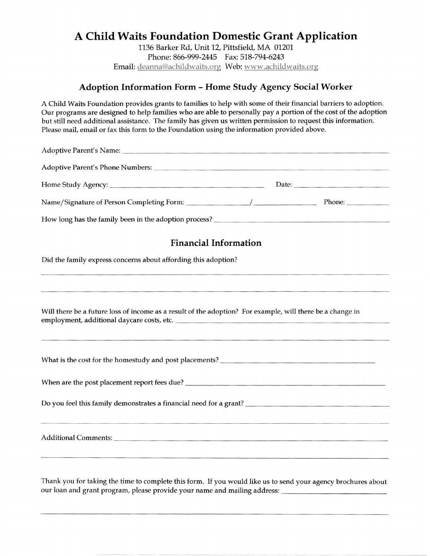## A Child Waits Foundation Domestic Grant Application

<sup>1136</sup>Barker Rd, Unit 12, Pittsfield, MA 01201. Phone: 866-999-2445 Fax: 518-794-6243 Email: deanna@achildwaits.org Web: www.achildwaits.org

## Adoption Information Form - Home Study Agency Social Worker

A Child Waits Foundation provides grants to families to help with some of their financial barriers to adoption. Our programs are designed to help families who are able to personally pay a portion of the cost of the adoption but still need additional assistance. The family has given us written permission to request this in{ormation. Please mail, email or fax this form to the Foundation using the information provided above.

| <b>Financial Information</b>                                                                              |  |  |
|-----------------------------------------------------------------------------------------------------------|--|--|
| Did the family express concerns about affording this adoption?                                            |  |  |
|                                                                                                           |  |  |
| Will there be a future loss of income as a result of the adoption? For example, will there be a change in |  |  |
|                                                                                                           |  |  |
|                                                                                                           |  |  |
|                                                                                                           |  |  |
|                                                                                                           |  |  |
|                                                                                                           |  |  |

Thank you for taking the time to complete this form. If you would like us to send your agency brochures about our loan and grant program, please provide your name and mailing address: